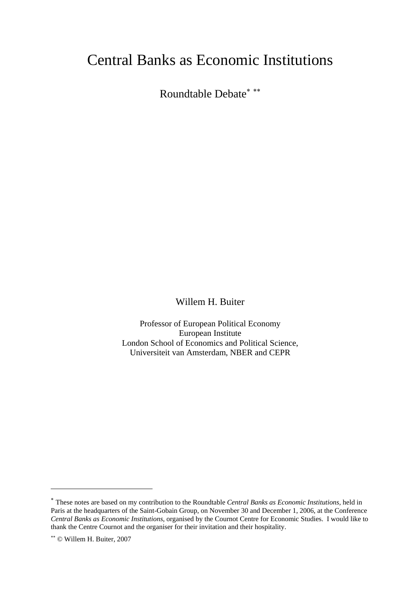# Central Banks as Economic Institutions

Roundtable Debate<sup>∗</sup> ∗∗

Willem H. Buiter

Professor of European Political Economy European Institute London School of Economics and Political Science, Universiteit van Amsterdam, NBER and CEPR

 $\overline{a}$ 

<sup>∗</sup> These notes are based on my contribution to the Roundtable *Central Banks as Economic Institutions,* held in Paris at the headquarters of the Saint-Gobain Group, on November 30 and December 1, 2006, at the Conference *Central Banks as Economic Institutions*, organised by the Cournot Centre for Economic Studies. I would like to thank the Centre Cournot and the organiser for their invitation and their hospitality.

<sup>∗∗</sup> © Willem H. Buiter, 2007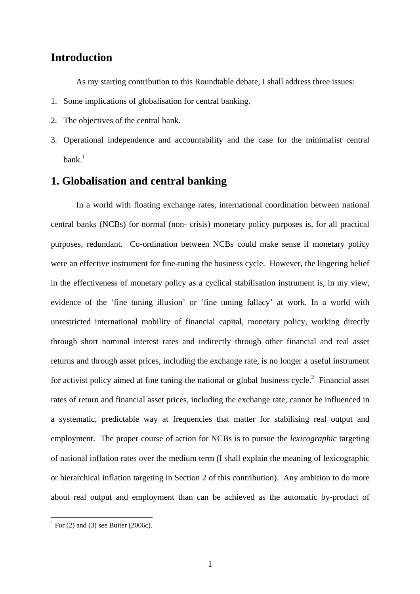#### **Introduction**

As my starting contribution to this Roundtable debate, I shall address three issues:

- 1. Some implications of globalisation for central banking.
- 2. The objectives of the central bank.
- 3. Operational independence and accountability and the case for the minimalist central  $hank$ <sup>1</sup>

### **1. Globalisation and central banking**

In a world with floating exchange rates, international coordination between national central banks (NCBs) for normal (non- crisis) monetary policy purposes is, for all practical purposes, redundant. Co-ordination between NCBs could make sense if monetary policy were an effective instrument for fine-tuning the business cycle. However, the lingering belief in the effectiveness of monetary policy as a cyclical stabilisation instrument is, in my view, evidence of the 'fine tuning illusion' or 'fine tuning fallacy' at work. In a world with unrestricted international mobility of financial capital, monetary policy, working directly through short nominal interest rates and indirectly through other financial and real asset returns and through asset prices, including the exchange rate, is no longer a useful instrument for activist policy aimed at fine tuning the national or global business cycle.<sup>2</sup> Financial asset rates of return and financial asset prices, including the exchange rate, cannot be influenced in a systematic, predictable way at frequencies that matter for stabilising real output and employment. The proper course of action for NCBs is to pursue the *lexicographic* targeting of national inflation rates over the medium term (I shall explain the meaning of lexicographic or hierarchical inflation targeting in Section 2 of this contribution). Any ambition to do more about real output and employment than can be achieved as the automatic by-product of

 $\frac{1}{1}$  For (2) and (3) see Buiter (2006c).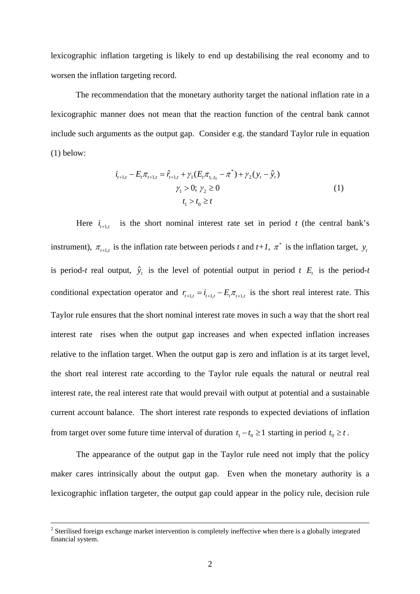lexicographic inflation targeting is likely to end up destabilising the real economy and to worsen the inflation targeting record.

 The recommendation that the monetary authority target the national inflation rate in a lexicographic manner does not mean that the reaction function of the central bank cannot include such arguments as the output gap. Consider e.g. the standard Taylor rule in equation (1) below:

$$
i_{t+1,t} - E_t \pi_{t+1,t} = \hat{r}_{t+1,t} + \gamma_1 (E_t \pi_{t_1,t_0} - \pi^*) + \gamma_2 (y_t - \hat{y}_t)
$$
  

$$
\gamma_1 > 0; \ \gamma_2 \ge 0
$$
  

$$
t_1 > t_0 \ge t
$$
 (1)

Here  $i_{t+1,t}$  is the short nominal interest rate set in period *t* (the central bank's instrument),  $\pi_{t+1,t}$  is the inflation rate between periods *t* and *t+1*,  $\pi^*$  is the inflation target,  $y_t$ is period-*t* real output,  $\hat{y}_t$  is the level of potential output in period *t*  $E_t$  is the period-*t* conditional expectation operator and  $r_{t+1,t} = i_{t+1,t} - E_t \pi_{t+1,t}$  is the short real interest rate. This Taylor rule ensures that the short nominal interest rate moves in such a way that the short real interest rate rises when the output gap increases and when expected inflation increases relative to the inflation target. When the output gap is zero and inflation is at its target level, the short real interest rate according to the Taylor rule equals the natural or neutral real interest rate, the real interest rate that would prevail with output at potential and a sustainable current account balance. The short interest rate responds to expected deviations of inflation from target over some future time interval of duration  $t_1 - t_0 \ge 1$  starting in period  $t_0 \ge t$ .

The appearance of the output gap in the Taylor rule need not imply that the policy maker cares intrinsically about the output gap. Even when the monetary authority is a lexicographic inflation targeter, the output gap could appear in the policy rule, decision rule

 $\frac{1}{2}$ <sup>2</sup> Sterilised foreign exchange market intervention is completely ineffective when there is a globally integrated financial system.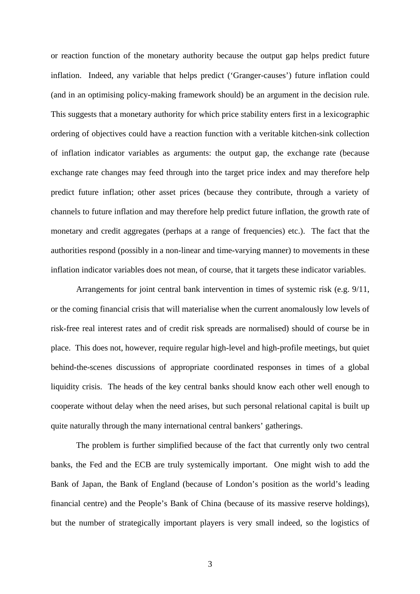or reaction function of the monetary authority because the output gap helps predict future inflation. Indeed, any variable that helps predict ('Granger-causes') future inflation could (and in an optimising policy-making framework should) be an argument in the decision rule. This suggests that a monetary authority for which price stability enters first in a lexicographic ordering of objectives could have a reaction function with a veritable kitchen-sink collection of inflation indicator variables as arguments: the output gap, the exchange rate (because exchange rate changes may feed through into the target price index and may therefore help predict future inflation; other asset prices (because they contribute, through a variety of channels to future inflation and may therefore help predict future inflation, the growth rate of monetary and credit aggregates (perhaps at a range of frequencies) etc.). The fact that the authorities respond (possibly in a non-linear and time-varying manner) to movements in these inflation indicator variables does not mean, of course, that it targets these indicator variables.

Arrangements for joint central bank intervention in times of systemic risk (e.g. 9/11, or the coming financial crisis that will materialise when the current anomalously low levels of risk-free real interest rates and of credit risk spreads are normalised) should of course be in place. This does not, however, require regular high-level and high-profile meetings, but quiet behind-the-scenes discussions of appropriate coordinated responses in times of a global liquidity crisis. The heads of the key central banks should know each other well enough to cooperate without delay when the need arises, but such personal relational capital is built up quite naturally through the many international central bankers' gatherings.

The problem is further simplified because of the fact that currently only two central banks, the Fed and the ECB are truly systemically important. One might wish to add the Bank of Japan, the Bank of England (because of London's position as the world's leading financial centre) and the People's Bank of China (because of its massive reserve holdings), but the number of strategically important players is very small indeed, so the logistics of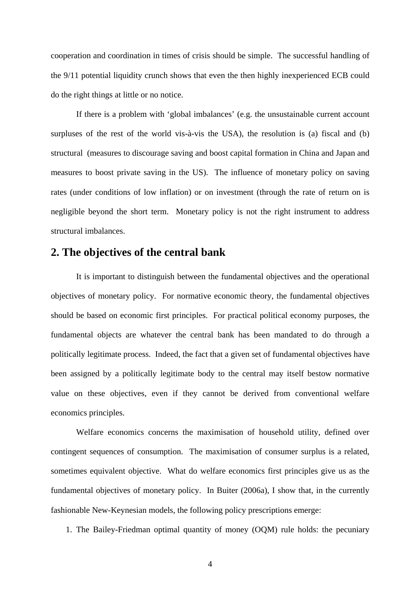cooperation and coordination in times of crisis should be simple. The successful handling of the 9/11 potential liquidity crunch shows that even the then highly inexperienced ECB could do the right things at little or no notice.

If there is a problem with 'global imbalances' (e.g. the unsustainable current account surpluses of the rest of the world vis-à-vis the USA), the resolution is (a) fiscal and (b) structural (measures to discourage saving and boost capital formation in China and Japan and measures to boost private saving in the US). The influence of monetary policy on saving rates (under conditions of low inflation) or on investment (through the rate of return on is negligible beyond the short term. Monetary policy is not the right instrument to address structural imbalances.

#### **2. The objectives of the central bank**

It is important to distinguish between the fundamental objectives and the operational objectives of monetary policy. For normative economic theory, the fundamental objectives should be based on economic first principles. For practical political economy purposes, the fundamental objects are whatever the central bank has been mandated to do through a politically legitimate process. Indeed, the fact that a given set of fundamental objectives have been assigned by a politically legitimate body to the central may itself bestow normative value on these objectives, even if they cannot be derived from conventional welfare economics principles.

Welfare economics concerns the maximisation of household utility, defined over contingent sequences of consumption. The maximisation of consumer surplus is a related, sometimes equivalent objective. What do welfare economics first principles give us as the fundamental objectives of monetary policy. In Buiter (2006a), I show that, in the currently fashionable New-Keynesian models, the following policy prescriptions emerge:

1. The Bailey-Friedman optimal quantity of money (OQM) rule holds: the pecuniary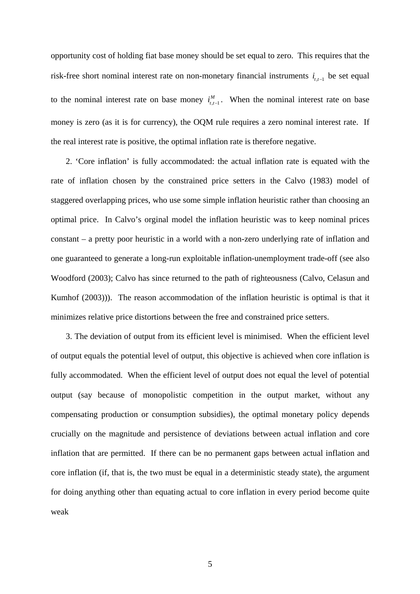opportunity cost of holding fiat base money should be set equal to zero. This requires that the risk-free short nominal interest rate on non-monetary financial instruments  $i_{t,t-1}$  be set equal to the nominal interest rate on base money  $i_{t,t-1}^M$ . When the nominal interest rate on base money is zero (as it is for currency), the OQM rule requires a zero nominal interest rate. If the real interest rate is positive, the optimal inflation rate is therefore negative.

2. 'Core inflation' is fully accommodated: the actual inflation rate is equated with the rate of inflation chosen by the constrained price setters in the Calvo (1983) model of staggered overlapping prices, who use some simple inflation heuristic rather than choosing an optimal price. In Calvo's orginal model the inflation heuristic was to keep nominal prices constant – a pretty poor heuristic in a world with a non-zero underlying rate of inflation and one guaranteed to generate a long-run exploitable inflation-unemployment trade-off (see also Woodford (2003); Calvo has since returned to the path of righteousness (Calvo, Celasun and Kumhof (2003))). The reason accommodation of the inflation heuristic is optimal is that it minimizes relative price distortions between the free and constrained price setters.

 3. The deviation of output from its efficient level is minimised. When the efficient level of output equals the potential level of output, this objective is achieved when core inflation is fully accommodated. When the efficient level of output does not equal the level of potential output (say because of monopolistic competition in the output market, without any compensating production or consumption subsidies), the optimal monetary policy depends crucially on the magnitude and persistence of deviations between actual inflation and core inflation that are permitted. If there can be no permanent gaps between actual inflation and core inflation (if, that is, the two must be equal in a deterministic steady state), the argument for doing anything other than equating actual to core inflation in every period become quite weak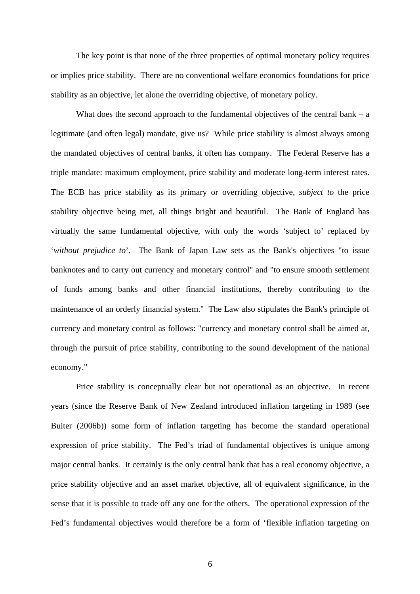The key point is that none of the three properties of optimal monetary policy requires or implies price stability. There are no conventional welfare economics foundations for price stability as an objective, let alone the overriding objective, of monetary policy.

What does the second approach to the fundamental objectives of the central bank  $-$  a legitimate (and often legal) mandate, give us? While price stability is almost always among the mandated objectives of central banks, it often has company. The Federal Reserve has a triple mandate: maximum employment, price stability and moderate long-term interest rates. The ECB has price stability as its primary or overriding objective, *subject to* the price stability objective being met, all things bright and beautiful. The Bank of England has virtually the same fundamental objective, with only the words 'subject to' replaced by '*without prejudice to*'. The Bank of Japan Law sets as the Bank's objectives "to issue banknotes and to carry out currency and monetary control" and "to ensure smooth settlement of funds among banks and other financial institutions, thereby contributing to the maintenance of an orderly financial system." The Law also stipulates the Bank's principle of currency and monetary control as follows: "currency and monetary control shall be aimed at, through the pursuit of price stability, contributing to the sound development of the national economy."

 Price stability is conceptually clear but not operational as an objective. In recent years (since the Reserve Bank of New Zealand introduced inflation targeting in 1989 (see Buiter (2006b)) some form of inflation targeting has become the standard operational expression of price stability. The Fed's triad of fundamental objectives is unique among major central banks. It certainly is the only central bank that has a real economy objective, a price stability objective and an asset market objective, all of equivalent significance, in the sense that it is possible to trade off any one for the others. The operational expression of the Fed's fundamental objectives would therefore be a form of 'flexible inflation targeting on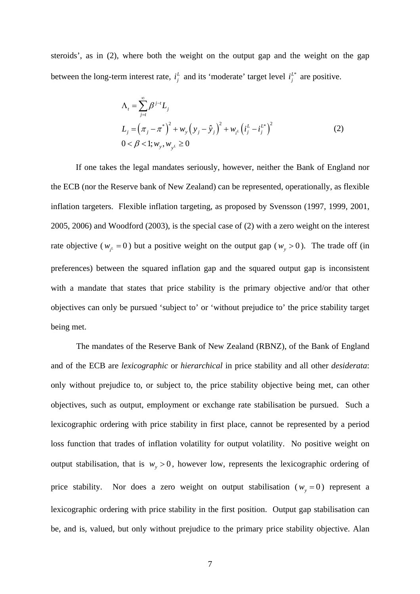steroids', as in (2), where both the weight on the output gap and the weight on the gap between the long-term interest rate,  $i_j^L$  and its 'moderate' target level  $i_j^{L^*}$  are positive.

$$
\Lambda_{t} = \sum_{j=t}^{\infty} \beta^{j-t} L_{j}
$$
\n
$$
L_{j} = (\pi_{j} - \pi^{*})^{2} + w_{y} (y_{j} - \hat{y}_{j})^{2} + w_{i} (i_{j}^{L} - i_{j}^{L^{*}})^{2}
$$
\n
$$
0 < \beta < 1; w_{y}, w_{y^{L}} \ge 0
$$
\n(2)

 If one takes the legal mandates seriously, however, neither the Bank of England nor the ECB (nor the Reserve bank of New Zealand) can be represented, operationally, as flexible inflation targeters. Flexible inflation targeting, as proposed by Svensson (1997, 1999, 2001, 2005, 2006) and Woodford (2003), is the special case of (2) with a zero weight on the interest rate objective ( $w_{\mu} = 0$ ) but a positive weight on the output gap ( $w_{y} > 0$ ). The trade off (in preferences) between the squared inflation gap and the squared output gap is inconsistent with a mandate that states that price stability is the primary objective and/or that other objectives can only be pursued 'subject to' or 'without prejudice to' the price stability target being met.

The mandates of the Reserve Bank of New Zealand (RBNZ), of the Bank of England and of the ECB are *lexicographic* or *hierarchical* in price stability and all other *desiderata*: only without prejudice to, or subject to, the price stability objective being met, can other objectives, such as output, employment or exchange rate stabilisation be pursued. Such a lexicographic ordering with price stability in first place, cannot be represented by a period loss function that trades of inflation volatility for output volatility. No positive weight on output stabilisation, that is  $w_y > 0$ , however low, represents the lexicographic ordering of price stability. Nor does a zero weight on output stabilisation ( $w_y = 0$ ) represent a lexicographic ordering with price stability in the first position. Output gap stabilisation can be, and is, valued, but only without prejudice to the primary price stability objective. Alan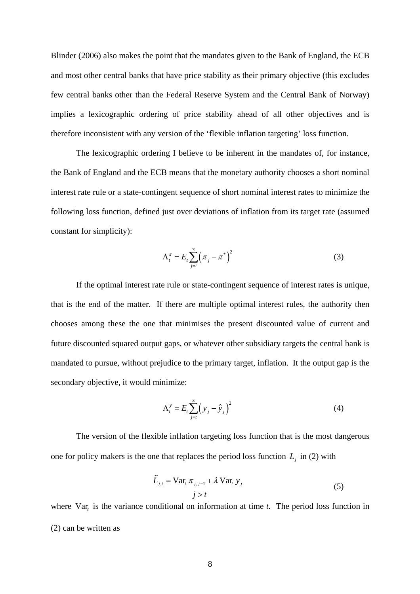Blinder (2006) also makes the point that the mandates given to the Bank of England, the ECB and most other central banks that have price stability as their primary objective (this excludes few central banks other than the Federal Reserve System and the Central Bank of Norway) implies a lexicographic ordering of price stability ahead of all other objectives and is therefore inconsistent with any version of the 'flexible inflation targeting' loss function.

The lexicographic ordering I believe to be inherent in the mandates of, for instance, the Bank of England and the ECB means that the monetary authority chooses a short nominal interest rate rule or a state-contingent sequence of short nominal interest rates to minimize the following loss function, defined just over deviations of inflation from its target rate (assumed constant for simplicity):

$$
\Lambda_t^{\pi} = E_t \sum_{j=t}^{\infty} \left( \pi_j - \pi^* \right)^2 \tag{3}
$$

 If the optimal interest rate rule or state-contingent sequence of interest rates is unique, that is the end of the matter. If there are multiple optimal interest rules, the authority then chooses among these the one that minimises the present discounted value of current and future discounted squared output gaps, or whatever other subsidiary targets the central bank is mandated to pursue, without prejudice to the primary target, inflation. It the output gap is the secondary objective, it would minimize:

$$
\Lambda_t^y = E_t \sum_{j=t}^{\infty} \left( y_j - \hat{y}_j \right)^2 \tag{4}
$$

The version of the flexible inflation targeting loss function that is the most dangerous one for policy makers is the one that replaces the period loss function  $L_j$  in (2) with

$$
\vec{L}_{j,t} = \text{Var}_{t} \,\pi_{j,j-1} + \lambda \,\text{Var}_{t} \, y_{j}
$$
\n
$$
j > t \tag{5}
$$

where Var<sub>c</sub> is the variance conditional on information at time *t*. The period loss function in (2) can be written as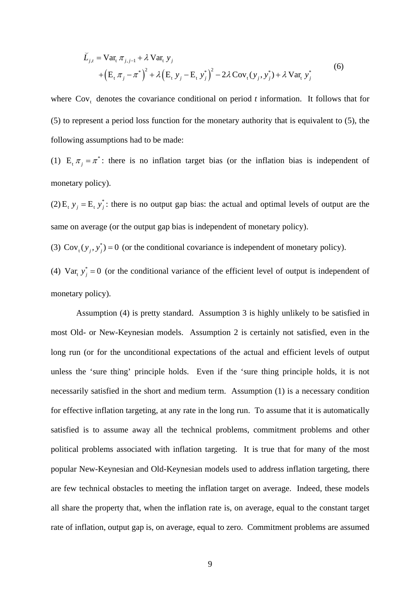$$
\widetilde{L}_{j,t} = \text{Var}_{t} \pi_{j,j-1} + \lambda \text{Var}_{t} y_{j} + (E_{t} \pi_{j} - \pi^{*})^{2} + \lambda (E_{t} y_{j} - E_{t} y_{j}^{*})^{2} - 2\lambda \text{Cov}_{t} (y_{j}, y_{j}^{*}) + \lambda \text{Var}_{t} y_{j}^{*}
$$
(6)

where  $Cov_t$  denotes the covariance conditional on period t information. It follows that for (5) to represent a period loss function for the monetary authority that is equivalent to (5), the following assumptions had to be made:

(1)  $E_t \pi_j = \pi^*$ : there is no inflation target bias (or the inflation bias is independent of monetary policy).

(2)  $E_t$   $y_j = E_t$   $y_j^*$ : there is no output gap bias: the actual and optimal levels of output are the same on average (or the output gap bias is independent of monetary policy).

(3)  $Cov_t(y_i, y_i^*) = 0$  (or the conditional covariance is independent of monetary policy).

(4)  $Var_t y_j^* = 0$  (or the conditional variance of the efficient level of output is independent of monetary policy).

 Assumption (4) is pretty standard. Assumption 3 is highly unlikely to be satisfied in most Old- or New-Keynesian models. Assumption 2 is certainly not satisfied, even in the long run (or for the unconditional expectations of the actual and efficient levels of output unless the 'sure thing' principle holds. Even if the 'sure thing principle holds, it is not necessarily satisfied in the short and medium term. Assumption (1) is a necessary condition for effective inflation targeting, at any rate in the long run. To assume that it is automatically satisfied is to assume away all the technical problems, commitment problems and other political problems associated with inflation targeting. It is true that for many of the most popular New-Keynesian and Old-Keynesian models used to address inflation targeting, there are few technical obstacles to meeting the inflation target on average. Indeed, these models all share the property that, when the inflation rate is, on average, equal to the constant target rate of inflation, output gap is, on average, equal to zero. Commitment problems are assumed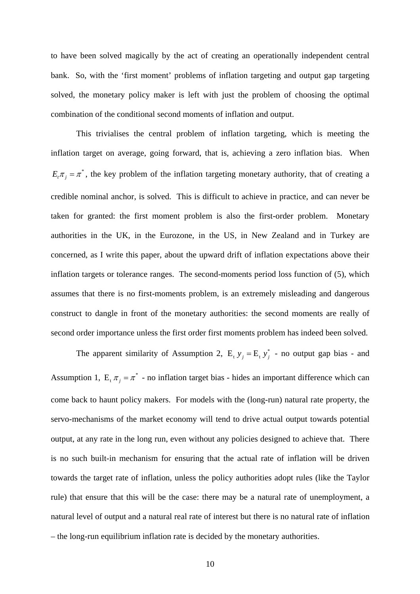to have been solved magically by the act of creating an operationally independent central bank. So, with the 'first moment' problems of inflation targeting and output gap targeting solved, the monetary policy maker is left with just the problem of choosing the optimal combination of the conditional second moments of inflation and output.

 This trivialises the central problem of inflation targeting, which is meeting the inflation target on average, going forward, that is, achieving a zero inflation bias. When  $E_{\tau} \pi_{i} = \pi^{*}$ , the key problem of the inflation targeting monetary authority, that of creating a credible nominal anchor, is solved. This is difficult to achieve in practice, and can never be taken for granted: the first moment problem is also the first-order problem. Monetary authorities in the UK, in the Eurozone, in the US, in New Zealand and in Turkey are concerned, as I write this paper, about the upward drift of inflation expectations above their inflation targets or tolerance ranges. The second-moments period loss function of (5), which assumes that there is no first-moments problem, is an extremely misleading and dangerous construct to dangle in front of the monetary authorities: the second moments are really of second order importance unless the first order first moments problem has indeed been solved.

The apparent similarity of Assumption 2,  $E_t$   $y_j = E_t$   $y_j^*$  - no output gap bias - and Assumption 1,  $E_t \pi_j = \pi^*$  - no inflation target bias - hides an important difference which can come back to haunt policy makers. For models with the (long-run) natural rate property, the servo-mechanisms of the market economy will tend to drive actual output towards potential output, at any rate in the long run, even without any policies designed to achieve that. There is no such built-in mechanism for ensuring that the actual rate of inflation will be driven towards the target rate of inflation, unless the policy authorities adopt rules (like the Taylor rule) that ensure that this will be the case: there may be a natural rate of unemployment, a natural level of output and a natural real rate of interest but there is no natural rate of inflation – the long-run equilibrium inflation rate is decided by the monetary authorities.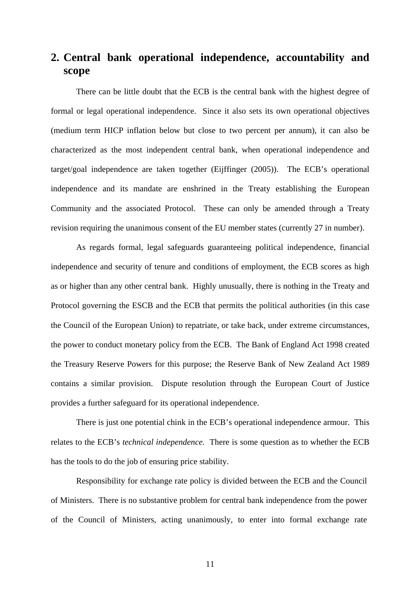## **2. Central bank operational independence, accountability and scope**

There can be little doubt that the ECB is the central bank with the highest degree of formal or legal operational independence. Since it also sets its own operational objectives (medium term HICP inflation below but close to two percent per annum), it can also be characterized as the most independent central bank, when operational independence and target/goal independence are taken together (Eijffinger (2005)). The ECB's operational independence and its mandate are enshrined in the Treaty establishing the European Community and the associated Protocol. These can only be amended through a Treaty revision requiring the unanimous consent of the EU member states (currently 27 in number).

As regards formal, legal safeguards guaranteeing political independence, financial independence and security of tenure and conditions of employment, the ECB scores as high as or higher than any other central bank. Highly unusually, there is nothing in the Treaty and Protocol governing the ESCB and the ECB that permits the political authorities (in this case the Council of the European Union) to repatriate, or take back, under extreme circumstances, the power to conduct monetary policy from the ECB. The Bank of England Act 1998 created the Treasury Reserve Powers for this purpose; the Reserve Bank of New Zealand Act 1989 contains a similar provision. Dispute resolution through the European Court of Justice provides a further safeguard for its operational independence.

There is just one potential chink in the ECB's operational independence armour. This relates to the ECB's *technical independence.* There is some question as to whether the ECB has the tools to do the job of ensuring price stability.

Responsibility for exchange rate policy is divided between the ECB and the Council of Ministers. There is no substantive problem for central bank independence from the power of the Council of Ministers, acting unanimously, to enter into formal exchange rate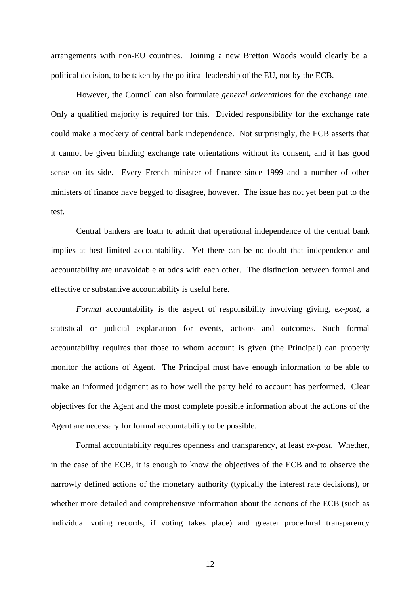arrangements with non-EU countries. Joining a new Bretton Woods would clearly be a political decision, to be taken by the political leadership of the EU, not by the ECB.

However, the Council can also formulate *general orientations* for the exchange rate. Only a qualified majority is required for this. Divided responsibility for the exchange rate could make a mockery of central bank independence. Not surprisingly, the ECB asserts that it cannot be given binding exchange rate orientations without its consent, and it has good sense on its side. Every French minister of finance since 1999 and a number of other ministers of finance have begged to disagree, however. The issue has not yet been put to the test.

 Central bankers are loath to admit that operational independence of the central bank implies at best limited accountability. Yet there can be no doubt that independence and accountability are unavoidable at odds with each other. The distinction between formal and effective or substantive accountability is useful here.

*Formal* accountability is the aspect of responsibility involving giving, *ex-post*, a statistical or judicial explanation for events, actions and outcomes. Such formal accountability requires that those to whom account is given (the Principal) can properly monitor the actions of Agent. The Principal must have enough information to be able to make an informed judgment as to how well the party held to account has performed. Clear objectives for the Agent and the most complete possible information about the actions of the Agent are necessary for formal accountability to be possible.

Formal accountability requires openness and transparency, at least *ex-post.* Whether, in the case of the ECB, it is enough to know the objectives of the ECB and to observe the narrowly defined actions of the monetary authority (typically the interest rate decisions), or whether more detailed and comprehensive information about the actions of the ECB (such as individual voting records, if voting takes place) and greater procedural transparency

12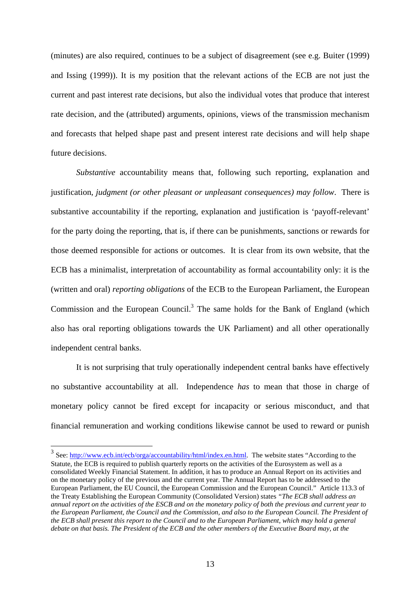(minutes) are also required, continues to be a subject of disagreement (see e.g. Buiter (1999) and Issing (1999)). It is my position that the relevant actions of the ECB are not just the current and past interest rate decisions, but also the individual votes that produce that interest rate decision, and the (attributed) arguments, opinions, views of the transmission mechanism and forecasts that helped shape past and present interest rate decisions and will help shape future decisions.

*Substantive* accountability means that, following such reporting, explanation and justification, *judgment (or other pleasant or unpleasant consequences) may follow*. There is substantive accountability if the reporting, explanation and justification is 'payoff-relevant' for the party doing the reporting, that is, if there can be punishments, sanctions or rewards for those deemed responsible for actions or outcomes. It is clear from its own website, that the ECB has a minimalist, interpretation of accountability as formal accountability only: it is the (written and oral) *reporting obligations* of the ECB to the European Parliament, the European Commission and the European Council.<sup>3</sup> The same holds for the Bank of England (which also has oral reporting obligations towards the UK Parliament) and all other operationally independent central banks.

 It is not surprising that truly operationally independent central banks have effectively no substantive accountability at all. Independence *has* to mean that those in charge of monetary policy cannot be fired except for incapacity or serious misconduct, and that financial remuneration and working conditions likewise cannot be used to reward or punish

<sup>&</sup>lt;sup>3</sup> See:  $\frac{http://www.ecb.int/ecb/orga/accountability/html/index_en.html}{http://www.ecb.int/ecb/orga/accountability/html/index_en.html}.$  The website states "According to the Statute, the ECB is required to publish quarterly reports on the activities of the Eurosystem as well as a consolidated Weekly Financial Statement. In addition, it has to produce an Annual Report on its activities and on the monetary policy of the previous and the current year. The Annual Report has to be addressed to the European Parliament, the EU Council, the European Commission and the European Council." Article 113.3 of the Treaty Establishing the European Community (Consolidated Version) states *"The ECB shall address an annual report on the activities of the ESCB and on the monetary policy of both the previous and current year to the European Parliament, the Council and the Commission, and also to the European Council. The President of the ECB shall present this report to the Council and to the European Parliament, which may hold a general debate on that basis. The President of the ECB and the other members of the Executive Board may, at the*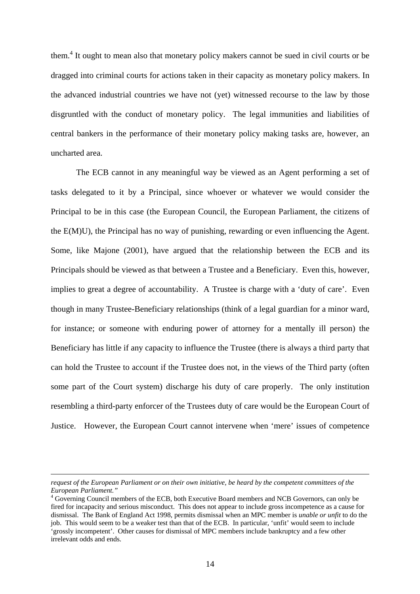them.<sup>4</sup> It ought to mean also that monetary policy makers cannot be sued in civil courts or be dragged into criminal courts for actions taken in their capacity as monetary policy makers. In the advanced industrial countries we have not (yet) witnessed recourse to the law by those disgruntled with the conduct of monetary policy. The legal immunities and liabilities of central bankers in the performance of their monetary policy making tasks are, however, an uncharted area.

 The ECB cannot in any meaningful way be viewed as an Agent performing a set of tasks delegated to it by a Principal, since whoever or whatever we would consider the Principal to be in this case (the European Council, the European Parliament, the citizens of the E(M)U), the Principal has no way of punishing, rewarding or even influencing the Agent. Some, like Majone (2001), have argued that the relationship between the ECB and its Principals should be viewed as that between a Trustee and a Beneficiary. Even this, however, implies to great a degree of accountability. A Trustee is charge with a 'duty of care'. Even though in many Trustee-Beneficiary relationships (think of a legal guardian for a minor ward, for instance; or someone with enduring power of attorney for a mentally ill person) the Beneficiary has little if any capacity to influence the Trustee (there is always a third party that can hold the Trustee to account if the Trustee does not, in the views of the Third party (often some part of the Court system) discharge his duty of care properly. The only institution resembling a third-party enforcer of the Trustees duty of care would be the European Court of Justice. However, the European Court cannot intervene when 'mere' issues of competence

 $\overline{a}$ 

*request of the European Parliament or on their own initiative, be heard by the competent committees of the European Parliament."* 

<sup>&</sup>lt;sup>4</sup> Governing Council members of the ECB, both Executive Board members and NCB Governors, can only be fired for incapacity and serious misconduct. This does not appear to include gross incompetence as a cause for dismissal. The Bank of England Act 1998, permits dismissal when an MPC member is *unable or unfit* to do the job. This would seem to be a weaker test than that of the ECB. In particular, 'unfit' would seem to include 'grossly incompetent'. Other causes for dismissal of MPC members include bankruptcy and a few other irrelevant odds and ends.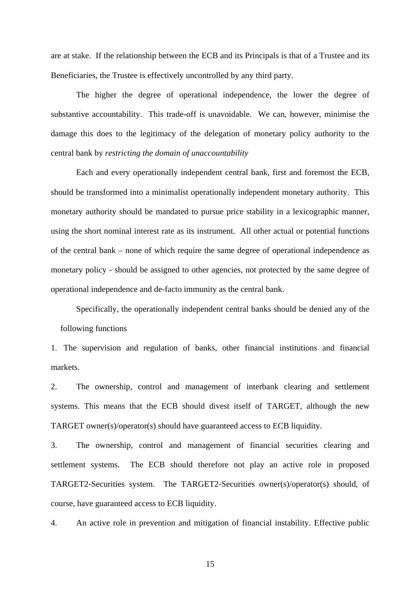are at stake. If the relationship between the ECB and its Principals is that of a Trustee and its Beneficiaries, the Trustee is effectively uncontrolled by any third party.

The higher the degree of operational independence, the lower the degree of substantive accountability. This trade-off is unavoidable. We can, however, minimise the damage this does to the legitimacy of the delegation of monetary policy authority to the central bank by *restricting the domain of unaccountability*

Each and every operationally independent central bank, first and foremost the ECB, should be transformed into a minimalist operationally independent monetary authority. This monetary authority should be mandated to pursue price stability in a lexicographic manner, using the short nominal interest rate as its instrument. All other actual or potential functions of the central bank – none of which require the same degree of operational independence as monetary policy - should be assigned to other agencies, not protected by the same degree of operational independence and de-facto immunity as the central bank.

Specifically, the operationally independent central banks should be denied any of the following functions

1. The supervision and regulation of banks, other financial institutions and financial markets.

2. The ownership, control and management of interbank clearing and settlement systems. This means that the ECB should divest itself of TARGET, although the new TARGET owner(s)/operator(s) should have guaranteed access to ECB liquidity.

3. The ownership, control and management of financial securities clearing and settlement systems. The ECB should therefore not play an active role in proposed TARGET2-Securities system. The TARGET2-Securities owner(s)/operator(s) should, of course, have guaranteed access to ECB liquidity.

4. An active role in prevention and mitigation of financial instability. Effective public

15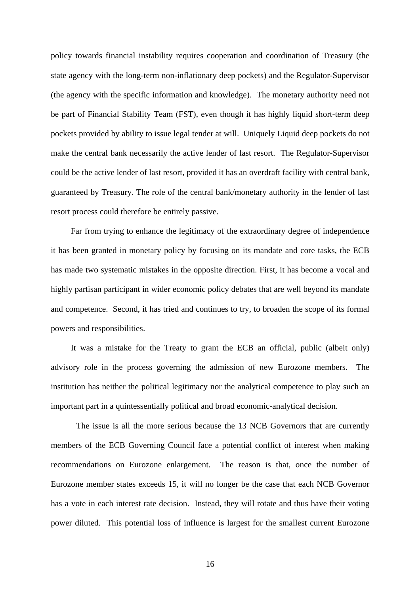policy towards financial instability requires cooperation and coordination of Treasury (the state agency with the long-term non-inflationary deep pockets) and the Regulator-Supervisor (the agency with the specific information and knowledge). The monetary authority need not be part of Financial Stability Team (FST), even though it has highly liquid short-term deep pockets provided by ability to issue legal tender at will. Uniquely Liquid deep pockets do not make the central bank necessarily the active lender of last resort. The Regulator-Supervisor could be the active lender of last resort, provided it has an overdraft facility with central bank, guaranteed by Treasury. The role of the central bank/monetary authority in the lender of last resort process could therefore be entirely passive.

 Far from trying to enhance the legitimacy of the extraordinary degree of independence it has been granted in monetary policy by focusing on its mandate and core tasks, the ECB has made two systematic mistakes in the opposite direction. First, it has become a vocal and highly partisan participant in wider economic policy debates that are well beyond its mandate and competence. Second, it has tried and continues to try, to broaden the scope of its formal powers and responsibilities.

 It was a mistake for the Treaty to grant the ECB an official, public (albeit only) advisory role in the process governing the admission of new Eurozone members. The institution has neither the political legitimacy nor the analytical competence to play such an important part in a quintessentially political and broad economic-analytical decision.

 The issue is all the more serious because the 13 NCB Governors that are currently members of the ECB Governing Council face a potential conflict of interest when making recommendations on Eurozone enlargement. The reason is that, once the number of Eurozone member states exceeds 15, it will no longer be the case that each NCB Governor has a vote in each interest rate decision. Instead, they will rotate and thus have their voting power diluted. This potential loss of influence is largest for the smallest current Eurozone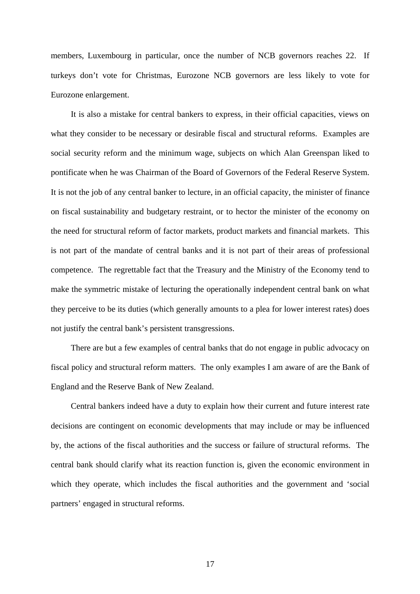members, Luxembourg in particular, once the number of NCB governors reaches 22. If turkeys don't vote for Christmas, Eurozone NCB governors are less likely to vote for Eurozone enlargement.

 It is also a mistake for central bankers to express, in their official capacities, views on what they consider to be necessary or desirable fiscal and structural reforms. Examples are social security reform and the minimum wage, subjects on which Alan Greenspan liked to pontificate when he was Chairman of the Board of Governors of the Federal Reserve System. It is not the job of any central banker to lecture, in an official capacity, the minister of finance on fiscal sustainability and budgetary restraint, or to hector the minister of the economy on the need for structural reform of factor markets, product markets and financial markets. This is not part of the mandate of central banks and it is not part of their areas of professional competence. The regrettable fact that the Treasury and the Ministry of the Economy tend to make the symmetric mistake of lecturing the operationally independent central bank on what they perceive to be its duties (which generally amounts to a plea for lower interest rates) does not justify the central bank's persistent transgressions.

 There are but a few examples of central banks that do not engage in public advocacy on fiscal policy and structural reform matters. The only examples I am aware of are the Bank of England and the Reserve Bank of New Zealand.

 Central bankers indeed have a duty to explain how their current and future interest rate decisions are contingent on economic developments that may include or may be influenced by, the actions of the fiscal authorities and the success or failure of structural reforms. The central bank should clarify what its reaction function is, given the economic environment in which they operate, which includes the fiscal authorities and the government and 'social partners' engaged in structural reforms.

17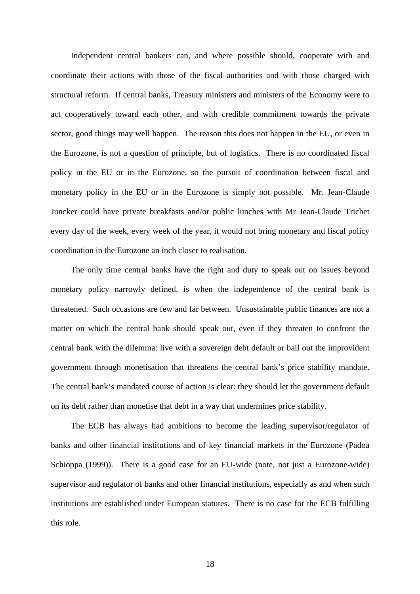Independent central bankers can, and where possible should, cooperate with and coordinate their actions with those of the fiscal authorities and with those charged with structural reform. If central banks, Treasury ministers and ministers of the Economy were to act cooperatively toward each other, and with credible commitment towards the private sector, good things may well happen. The reason this does not happen in the EU, or even in the Eurozone, is not a question of principle, but of logistics. There is no coordinated fiscal policy in the EU or in the Eurozone, so the pursuit of coordination between fiscal and monetary policy in the EU or in the Eurozone is simply not possible. Mr. Jean-Claude Juncker could have private breakfasts and/or public lunches with Mr Jean-Claude Trichet every day of the week, every week of the year, it would not bring monetary and fiscal policy coordination in the Eurozone an inch closer to realisation.

The only time central banks have the right and duty to speak out on issues beyond monetary policy narrowly defined, is when the independence of the central bank is threatened. Such occasions are few and far between. Unsustainable public finances are not a matter on which the central bank should speak out, even if they threaten to confront the central bank with the dilemma: live with a sovereign debt default or bail out the improvident government through monetisation that threatens the central bank's price stability mandate. The central bank's mandated course of action is clear: they should let the government default on its debt rather than monetise that debt in a way that undermines price stability.

 The ECB has always had ambitions to become the leading supervisor/regulator of banks and other financial institutions and of key financial markets in the Eurozone (Padoa Schioppa (1999)). There is a good case for an EU-wide (note, not just a Eurozone-wide) supervisor and regulator of banks and other financial institutions, especially as and when such institutions are established under European statutes. There is no case for the ECB fulfilling this role.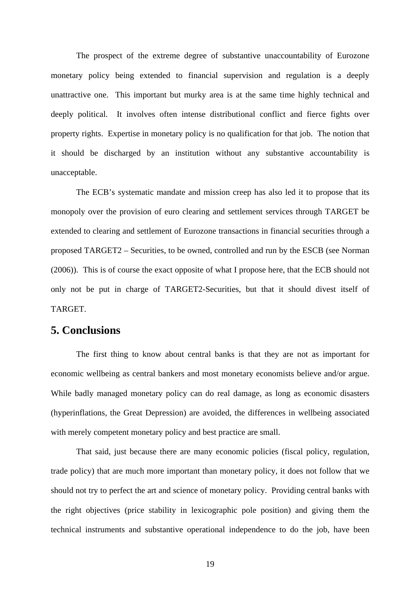The prospect of the extreme degree of substantive unaccountability of Eurozone monetary policy being extended to financial supervision and regulation is a deeply unattractive one. This important but murky area is at the same time highly technical and deeply political. It involves often intense distributional conflict and fierce fights over property rights. Expertise in monetary policy is no qualification for that job. The notion that it should be discharged by an institution without any substantive accountability is unacceptable.

The ECB's systematic mandate and mission creep has also led it to propose that its monopoly over the provision of euro clearing and settlement services through TARGET be extended to clearing and settlement of Eurozone transactions in financial securities through a proposed TARGET2 – Securities, to be owned, controlled and run by the ESCB (see Norman (2006)). This is of course the exact opposite of what I propose here, that the ECB should not only not be put in charge of TARGET2-Securities, but that it should divest itself of TARGET.

#### **5. Conclusions**

 The first thing to know about central banks is that they are not as important for economic wellbeing as central bankers and most monetary economists believe and/or argue. While badly managed monetary policy can do real damage, as long as economic disasters (hyperinflations, the Great Depression) are avoided, the differences in wellbeing associated with merely competent monetary policy and best practice are small.

 That said, just because there are many economic policies (fiscal policy, regulation, trade policy) that are much more important than monetary policy, it does not follow that we should not try to perfect the art and science of monetary policy. Providing central banks with the right objectives (price stability in lexicographic pole position) and giving them the technical instruments and substantive operational independence to do the job, have been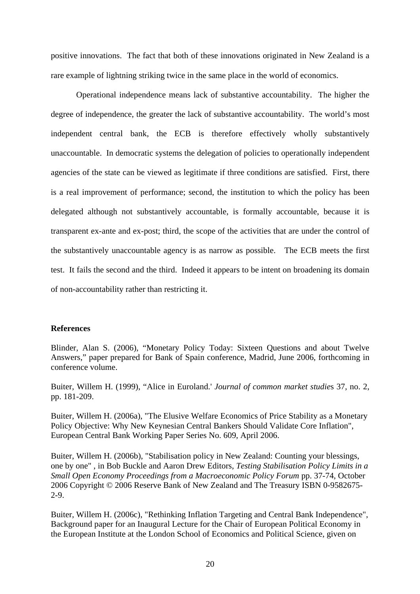positive innovations. The fact that both of these innovations originated in New Zealand is a rare example of lightning striking twice in the same place in the world of economics.

 Operational independence means lack of substantive accountability. The higher the degree of independence, the greater the lack of substantive accountability. The world's most independent central bank, the ECB is therefore effectively wholly substantively unaccountable. In democratic systems the delegation of policies to operationally independent agencies of the state can be viewed as legitimate if three conditions are satisfied. First, there is a real improvement of performance; second, the institution to which the policy has been delegated although not substantively accountable, is formally accountable, because it is transparent ex-ante and ex-post; third, the scope of the activities that are under the control of the substantively unaccountable agency is as narrow as possible. The ECB meets the first test. It fails the second and the third. Indeed it appears to be intent on broadening its domain of non-accountability rather than restricting it.

#### **References**

Blinder, Alan S. (2006), "Monetary Policy Today: Sixteen Questions and about Twelve Answers," paper prepared for Bank of Spain conference, Madrid, June 2006, forthcoming in conference volume.

Buiter, Willem H. (1999), "Alice in Euroland.' *Journal of common market studie*s 37, no. 2, pp. 181-209.

Buiter, Willem H. (2006a), "The Elusive Welfare Economics of Price Stability as a Monetary Policy Objective: Why New Keynesian Central Bankers Should Validate Core Inflation", European Central Bank Working Paper Series No. 609, April 2006.

Buiter, Willem H. (2006b), "Stabilisation policy in New Zealand: Counting your blessings, one by one" , in Bob Buckle and Aaron Drew Editors, *Testing Stabilisation Policy Limits in a Small Open Economy Proceedings from a Macroeconomic Policy Forum* pp. 37-74, October 2006 Copyright © 2006 Reserve Bank of New Zealand and The Treasury ISBN 0-9582675- 2-9.

Buiter, Willem H. (2006c), "Rethinking Inflation Targeting and Central Bank Independence", Background paper for an Inaugural Lecture for the Chair of European Political Economy in the European Institute at the London School of Economics and Political Science, given on